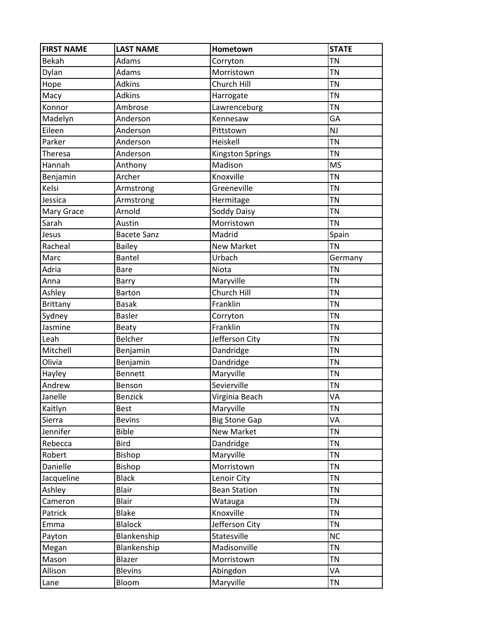| <b>FIRST NAME</b> | <b>LAST NAME</b>   | Hometown                | <b>STATE</b> |
|-------------------|--------------------|-------------------------|--------------|
| Bekah             | Adams              | Corryton                | <b>TN</b>    |
| Dylan             | Adams              | Morristown              | <b>TN</b>    |
| Hope              | <b>Adkins</b>      | Church Hill             | <b>TN</b>    |
| Macy              | <b>Adkins</b>      | Harrogate               | <b>TN</b>    |
| Konnor            | Ambrose            | Lawrenceburg            | <b>TN</b>    |
| Madelyn           | Anderson           | Kennesaw                | GA           |
| Eileen            | Anderson           | Pittstown               | <b>NJ</b>    |
| Parker            | Anderson           | Heiskell                | <b>TN</b>    |
| Theresa           | Anderson           | <b>Kingston Springs</b> | <b>TN</b>    |
| Hannah            | Anthony            | Madison                 | <b>MS</b>    |
| Benjamin          | Archer             | Knoxville               | <b>TN</b>    |
| Kelsi             | Armstrong          | Greeneville             | <b>TN</b>    |
| Jessica           | Armstrong          | Hermitage               | <b>TN</b>    |
| Mary Grace        | Arnold             | Soddy Daisy             | <b>TN</b>    |
| Sarah             | Austin             | Morristown              | <b>TN</b>    |
| Jesus             | <b>Bacete Sanz</b> | Madrid                  | Spain        |
| Racheal           | <b>Bailey</b>      | <b>New Market</b>       | TN           |
| Marc              | Bantel             | Urbach                  | Germany      |
| Adria             | <b>Bare</b>        | Niota                   | <b>TN</b>    |
| Anna              | Barry              | Maryville               | <b>TN</b>    |
| Ashley            | <b>Barton</b>      | Church Hill             | <b>TN</b>    |
| <b>Brittany</b>   | <b>Basak</b>       | Franklin                | <b>TN</b>    |
| Sydney            | <b>Basler</b>      | Corryton                | <b>TN</b>    |
| Jasmine           | <b>Beaty</b>       | Franklin                | <b>TN</b>    |
| Leah              | Belcher            | Jefferson City          | <b>TN</b>    |
| Mitchell          | Benjamin           | Dandridge               | <b>TN</b>    |
| Olivia            | Benjamin           | Dandridge               | <b>TN</b>    |
| Hayley            | <b>Bennett</b>     | Maryville               | <b>TN</b>    |
| Andrew            | Benson             | Sevierville             | <b>TN</b>    |
| Janelle           | <b>Benzick</b>     | Virginia Beach          | VA           |
| Kaitlyn           | <b>Best</b>        | Maryville               | <b>TN</b>    |
| Sierra            | <b>Bevins</b>      | <b>Big Stone Gap</b>    | VA           |
| Jennifer          | <b>Bible</b>       | New Market              | <b>TN</b>    |
| Rebecca           | Bird               | Dandridge               | <b>TN</b>    |
| Robert            | Bishop             | Maryville               | <b>TN</b>    |
| Danielle          | Bishop             | Morristown              | <b>TN</b>    |
| Jacqueline        | <b>Black</b>       | Lenoir City             | <b>TN</b>    |
| Ashley            | Blair              | <b>Bean Station</b>     | <b>TN</b>    |
| Cameron           | <b>Blair</b>       | Watauga                 | <b>TN</b>    |
| Patrick           | <b>Blake</b>       | Knoxville               | <b>TN</b>    |
| Emma              | <b>Blalock</b>     | Jefferson City          | <b>TN</b>    |
| Payton            | Blankenship        | Statesville             | <b>NC</b>    |
| Megan             | Blankenship        | Madisonville            | <b>TN</b>    |
| Mason             | Blazer             | Morristown              | <b>TN</b>    |
| Allison           | <b>Blevins</b>     | Abingdon                | VA           |
| Lane              | Bloom              | Maryville               | <b>TN</b>    |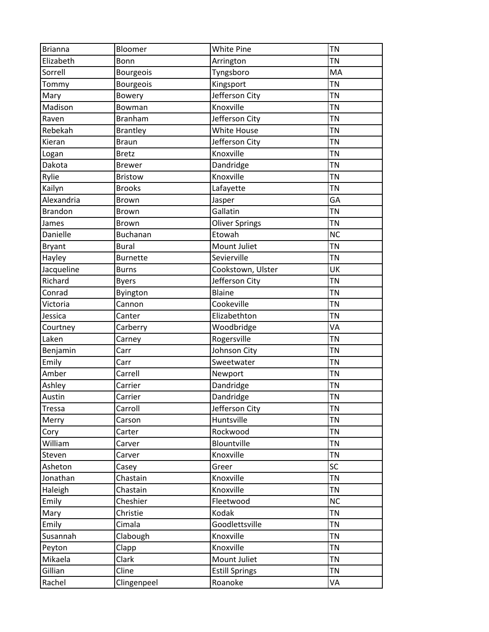| <b>Brianna</b> | Bloomer         | White Pine            | <b>TN</b> |
|----------------|-----------------|-----------------------|-----------|
| Elizabeth      | Bonn            | Arrington             | <b>TN</b> |
| Sorrell        | Bourgeois       | Tyngsboro             | MA        |
| Tommy          | Bourgeois       | Kingsport             | <b>TN</b> |
| Mary           | Bowery          | Jefferson City        | <b>TN</b> |
| Madison        | Bowman          | Knoxville             | <b>TN</b> |
| Raven          | <b>Branham</b>  | Jefferson City        | <b>TN</b> |
| Rebekah        | <b>Brantley</b> | <b>White House</b>    | <b>TN</b> |
| Kieran         | <b>Braun</b>    | Jefferson City        | <b>TN</b> |
| Logan          | <b>Bretz</b>    | Knoxville             | <b>TN</b> |
| Dakota         | <b>Brewer</b>   | Dandridge             | <b>TN</b> |
| Rylie          | <b>Bristow</b>  | Knoxville             | <b>TN</b> |
| Kailyn         | <b>Brooks</b>   | Lafayette             | <b>TN</b> |
| Alexandria     | Brown           | Jasper                | GA        |
| <b>Brandon</b> | <b>Brown</b>    | Gallatin              | <b>TN</b> |
| James          | <b>Brown</b>    | <b>Oliver Springs</b> | <b>TN</b> |
| Danielle       | Buchanan        | Etowah                | <b>NC</b> |
| <b>Bryant</b>  | <b>Bural</b>    | Mount Juliet          | <b>TN</b> |
| Hayley         | <b>Burnette</b> | Sevierville           | <b>TN</b> |
| Jacqueline     | <b>Burns</b>    | Cookstown, Ulster     | UK        |
| Richard        | <b>Byers</b>    | Jefferson City        | <b>TN</b> |
| Conrad         | Byington        | <b>Blaine</b>         | <b>TN</b> |
| Victoria       | Cannon          | Cookeville            | <b>TN</b> |
| Jessica        | Canter          | Elizabethton          | <b>TN</b> |
| Courtney       | Carberry        | Woodbridge            | VA        |
| Laken          | Carney          | Rogersville           | <b>TN</b> |
| Benjamin       | Carr            | Johnson City          | <b>TN</b> |
| Emily          | Carr            | Sweetwater            | <b>TN</b> |
| Amber          | Carrell         | Newport               | <b>TN</b> |
| Ashley         | Carrier         | Dandridge             | <b>TN</b> |
| Austin         | Carrier         | Dandridge             | <b>TN</b> |
| <b>Tressa</b>  | Carroll         | Jefferson City        | <b>TN</b> |
| Merry          | Carson          | Huntsville            | <b>TN</b> |
| Cory           | Carter          | Rockwood              | <b>TN</b> |
| William        | Carver          | Blountville           | <b>TN</b> |
| Steven         | Carver          | Knoxville             | <b>TN</b> |
| Asheton        | Casey           | Greer                 | SC        |
| Jonathan       | Chastain        | Knoxville             | <b>TN</b> |
| Haleigh        | Chastain        | Knoxville             | <b>TN</b> |
| Emily          | Cheshier        | Fleetwood             | <b>NC</b> |
| Mary           | Christie        | Kodak                 | <b>TN</b> |
| Emily          | Cimala          | Goodlettsville        | <b>TN</b> |
| Susannah       | Clabough        | Knoxville             | <b>TN</b> |
| Peyton         | Clapp           | Knoxville             | <b>TN</b> |
| Mikaela        | Clark           | Mount Juliet          | <b>TN</b> |
| Gillian        | Cline           | <b>Estill Springs</b> | <b>TN</b> |
| Rachel         | Clingenpeel     | Roanoke               | VA        |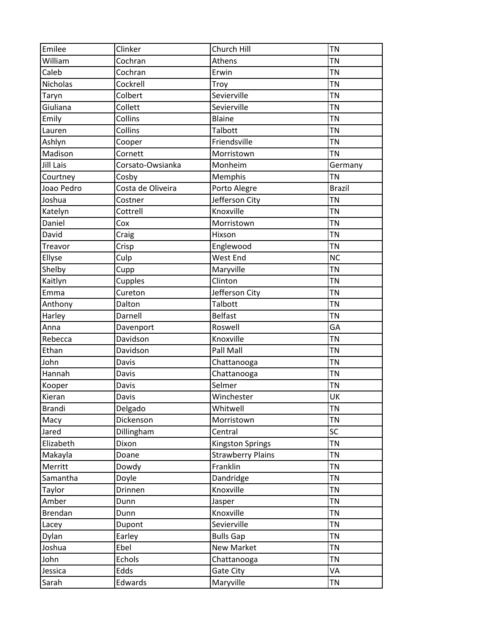| Emilee        | Clinker           | Church Hill              | <b>TN</b>     |
|---------------|-------------------|--------------------------|---------------|
| William       | Cochran           | Athens                   | <b>TN</b>     |
| Caleb         | Cochran           | Erwin                    | <b>TN</b>     |
| Nicholas      | Cockrell          | Troy                     | <b>TN</b>     |
| Taryn         | Colbert           | Sevierville              | <b>TN</b>     |
| Giuliana      | Collett           | Sevierville              | <b>TN</b>     |
| Emily         | Collins           | <b>Blaine</b>            | <b>TN</b>     |
| Lauren        | Collins           | Talbott                  | <b>TN</b>     |
| Ashlyn        | Cooper            | Friendsville             | <b>TN</b>     |
| Madison       | Cornett           | Morristown               | <b>TN</b>     |
| Jill Lais     | Corsato-Owsianka  | Monheim                  | Germany       |
| Courtney      | Cosby             | Memphis                  | <b>TN</b>     |
| Joao Pedro    | Costa de Oliveira | Porto Alegre             | <b>Brazil</b> |
| Joshua        | Costner           | Jefferson City           | <b>TN</b>     |
| Katelyn       | Cottrell          | Knoxville                | <b>TN</b>     |
| Daniel        | Cox               | Morristown               | <b>TN</b>     |
| David         | Craig             | Hixson                   | <b>TN</b>     |
| Treavor       | Crisp             | Englewood                | <b>TN</b>     |
| Ellyse        | Culp              | West End                 | <b>NC</b>     |
| Shelby        | Cupp              | Maryville                | <b>TN</b>     |
| Kaitlyn       | Cupples           | Clinton                  | <b>TN</b>     |
| Emma          | Cureton           | Jefferson City           | <b>TN</b>     |
| Anthony       | Dalton            | Talbott                  | <b>TN</b>     |
| Harley        | Darnell           | <b>Belfast</b>           | <b>TN</b>     |
| Anna          | Davenport         | Roswell                  | GA            |
| Rebecca       | Davidson          | Knoxville                | <b>TN</b>     |
| Ethan         | Davidson          | Pall Mall                | <b>TN</b>     |
| John          | Davis             | Chattanooga              | <b>TN</b>     |
| Hannah        | Davis             | Chattanooga              | <b>TN</b>     |
| Kooper        | Davis             | Selmer                   | <b>TN</b>     |
| Kieran        | Davis             | Winchester               | UK            |
| <b>Brandi</b> | Delgado           | Whitwell                 | <b>TN</b>     |
| Macy          | Dickenson         | Morristown               | <b>TN</b>     |
| Jared         | Dillingham        | Central                  | SC            |
| Elizabeth     | Dixon             | <b>Kingston Springs</b>  | <b>TN</b>     |
| Makayla       | Doane             | <b>Strawberry Plains</b> | <b>TN</b>     |
| Merritt       | Dowdy             | Franklin                 | <b>TN</b>     |
| Samantha      | Doyle             | Dandridge                | <b>TN</b>     |
| Taylor        | Drinnen           | Knoxville                | <b>TN</b>     |
| Amber         | Dunn              | Jasper                   | <b>TN</b>     |
| Brendan       | Dunn              | Knoxville                | <b>TN</b>     |
| Lacey         | Dupont            | Sevierville              | <b>TN</b>     |
| Dylan         | Earley            | <b>Bulls Gap</b>         | <b>TN</b>     |
| Joshua        | Ebel              | New Market               | <b>TN</b>     |
| John          | Echols            | Chattanooga              | <b>TN</b>     |
| Jessica       | Edds              | Gate City                | VA            |
| Sarah         | Edwards           | Maryville                | <b>TN</b>     |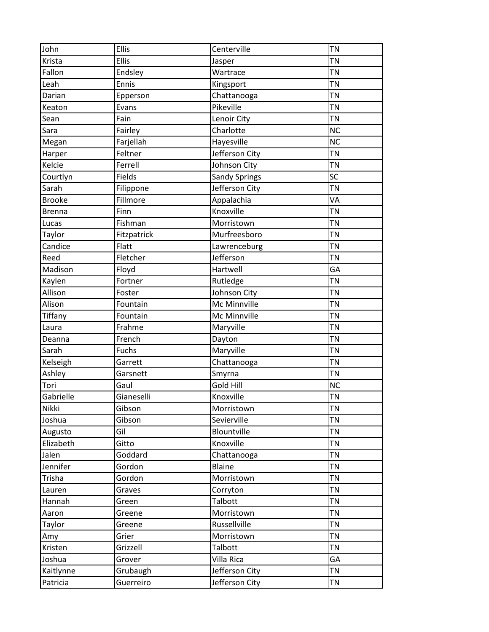| John          | <b>Ellis</b> | Centerville          | <b>TN</b>       |
|---------------|--------------|----------------------|-----------------|
| Krista        | <b>Ellis</b> | Jasper               | <b>TN</b>       |
| Fallon        | Endsley      | Wartrace             | <b>TN</b>       |
| Leah          | Ennis        | Kingsport            | <b>TN</b>       |
| Darian        | Epperson     | Chattanooga          | <b>TN</b>       |
| Keaton        | Evans        | Pikeville            | <b>TN</b>       |
| Sean          | Fain         | Lenoir City          | <b>TN</b>       |
| Sara          | Fairley      | Charlotte            | <b>NC</b>       |
| Megan         | Farjellah    | Hayesville           | <b>NC</b>       |
| Harper        | Feltner      | Jefferson City       | <b>TN</b>       |
| Kelcie        | Ferrell      | Johnson City         | <b>TN</b>       |
| Courtlyn      | Fields       | <b>Sandy Springs</b> | SC              |
| Sarah         | Filippone    | Jefferson City       | $\overline{T}N$ |
| <b>Brooke</b> | Fillmore     | Appalachia           | VA              |
| <b>Brenna</b> | Finn         | Knoxville            | <b>TN</b>       |
| Lucas         | Fishman      | Morristown           | <b>TN</b>       |
| Taylor        | Fitzpatrick  | Murfreesboro         | <b>TN</b>       |
| Candice       | Flatt        | Lawrenceburg         | <b>TN</b>       |
| Reed          | Fletcher     | Jefferson            | <b>TN</b>       |
| Madison       | Floyd        | Hartwell             | GA              |
| Kaylen        | Fortner      | Rutledge             | <b>TN</b>       |
| Allison       | Foster       | Johnson City         | <b>TN</b>       |
| Alison        | Fountain     | Mc Minnville         | <b>TN</b>       |
| Tiffany       | Fountain     | Mc Minnville         | <b>TN</b>       |
| Laura         | Frahme       | Maryville            | <b>TN</b>       |
| Deanna        | French       | Dayton               | <b>TN</b>       |
| Sarah         | Fuchs        | Maryville            | <b>TN</b>       |
| Kelseigh      | Garrett      | Chattanooga          | <b>TN</b>       |
| Ashley        | Garsnett     | Smyrna               | <b>TN</b>       |
| Tori          | Gaul         | Gold Hill            | <b>NC</b>       |
| Gabrielle     | Gianeselli   | Knoxville            | <b>TN</b>       |
| Nikki         | Gibson       | Morristown           | <b>TN</b>       |
| Joshua        | Gibson       | Sevierville          | <b>TN</b>       |
| Augusto       | Gil          | Blountville          | <b>TN</b>       |
| Elizabeth     | Gitto        | Knoxville            | <b>TN</b>       |
| Jalen         | Goddard      | Chattanooga          | <b>TN</b>       |
| Jennifer      | Gordon       | <b>Blaine</b>        | <b>TN</b>       |
| Trisha        | Gordon       | Morristown           | <b>TN</b>       |
| Lauren        | Graves       | Corryton             | <b>TN</b>       |
| Hannah        | Green        | Talbott              | <b>TN</b>       |
| Aaron         | Greene       | Morristown           | <b>TN</b>       |
| <b>Taylor</b> | Greene       | Russellville         | <b>TN</b>       |
| Amy           | Grier        | Morristown           | <b>TN</b>       |
| Kristen       | Grizzell     | Talbott              | <b>TN</b>       |
| Joshua        | Grover       | Villa Rica           | GA              |
| Kaitlynne     | Grubaugh     | Jefferson City       | <b>TN</b>       |
| Patricia      | Guerreiro    | Jefferson City       | <b>TN</b>       |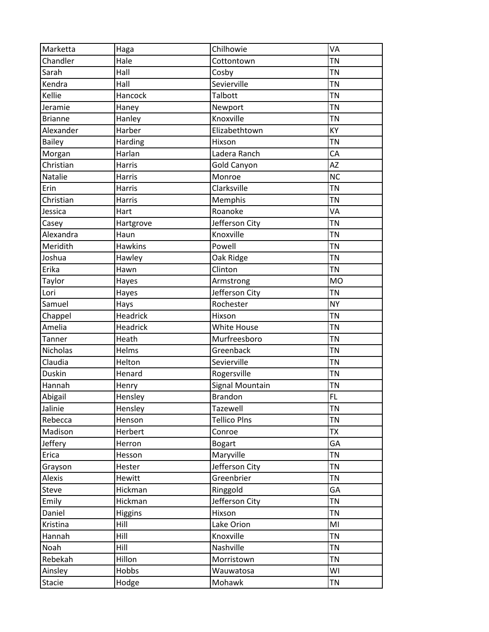| Marketta       | Haga           | Chilhowie              | VA        |
|----------------|----------------|------------------------|-----------|
| Chandler       | Hale           | Cottontown             | <b>TN</b> |
| Sarah          | Hall           | Cosby                  | <b>TN</b> |
| Kendra         | Hall           | Sevierville            | <b>TN</b> |
| Kellie         | Hancock        | <b>Talbott</b>         | <b>TN</b> |
| Jeramie        | Haney          | Newport                | <b>TN</b> |
| <b>Brianne</b> | Hanley         | Knoxville              | <b>TN</b> |
| Alexander      | Harber         | Elizabethtown          | KY        |
| <b>Bailey</b>  | Harding        | Hixson                 | <b>TN</b> |
| Morgan         | Harlan         | Ladera Ranch           | CA        |
| Christian      | Harris         | Gold Canyon            | AZ        |
| Natalie        | Harris         | Monroe                 | <b>NC</b> |
| Erin           | Harris         | Clarksville            | <b>TN</b> |
| Christian      | Harris         | Memphis                | <b>TN</b> |
| Jessica        | Hart           | Roanoke                | VA        |
| Casey          | Hartgrove      | Jefferson City         | <b>TN</b> |
| Alexandra      | Haun           | Knoxville              | <b>TN</b> |
| Meridith       | <b>Hawkins</b> | Powell                 | <b>TN</b> |
| Joshua         | Hawley         | Oak Ridge              | <b>TN</b> |
| Erika          | Hawn           | Clinton                | <b>TN</b> |
| Taylor         | Hayes          | Armstrong              | <b>MO</b> |
| Lori           | Hayes          | Jefferson City         | <b>TN</b> |
| Samuel         | Hays           | Rochester              | <b>NY</b> |
| Chappel        | Headrick       | Hixson                 | <b>TN</b> |
| Amelia         | Headrick       | White House            | <b>TN</b> |
| Tanner         | Heath          | Murfreesboro           | <b>TN</b> |
| Nicholas       | Helms          | Greenback              | <b>TN</b> |
| Claudia        | Helton         | Sevierville            | <b>TN</b> |
| <b>Duskin</b>  | Henard         | Rogersville            | <b>TN</b> |
| Hannah         | Henry          | <b>Signal Mountain</b> | <b>TN</b> |
| Abigail        | Hensley        | <b>Brandon</b>         | FL        |
| Jalinie        | Hensley        | Tazewell               | <b>TN</b> |
| Rebecca        | Henson         | <b>Tellico Plns</b>    | <b>TN</b> |
| Madison        | Herbert        | Conroe                 | <b>TX</b> |
| Jeffery        | Herron         | <b>Bogart</b>          | GA        |
| Erica          | Hesson         | Maryville              | <b>TN</b> |
| Grayson        | Hester         | Jefferson City         | <b>TN</b> |
| Alexis         | Hewitt         | Greenbrier             | <b>TN</b> |
| Steve          | Hickman        | Ringgold               | GA        |
| Emily          | Hickman        | Jefferson City         | <b>TN</b> |
| Daniel         | <b>Higgins</b> | Hixson                 | <b>TN</b> |
| Kristina       | Hill           | Lake Orion             | MI        |
| Hannah         | Hill           | Knoxville              | <b>TN</b> |
| Noah           | Hill           | Nashville              | <b>TN</b> |
| Rebekah        | Hillon         | Morristown             | <b>TN</b> |
| Ainsley        | Hobbs          | Wauwatosa              | WI        |
| <b>Stacie</b>  | Hodge          | Mohawk                 | <b>TN</b> |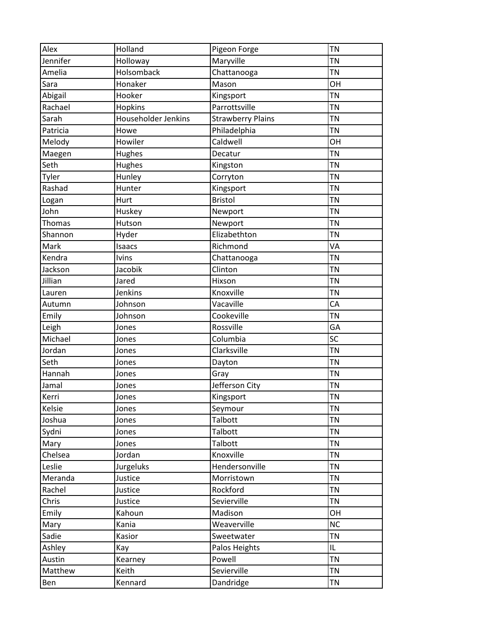| Alex     | Holland             | Pigeon Forge             | <b>TN</b> |
|----------|---------------------|--------------------------|-----------|
| Jennifer | Holloway            | Maryville                | <b>TN</b> |
| Amelia   | Holsomback          | Chattanooga              | <b>TN</b> |
| Sara     | Honaker             | Mason                    | OH        |
| Abigail  | Hooker              | Kingsport                | <b>TN</b> |
| Rachael  | <b>Hopkins</b>      | Parrottsville            | <b>TN</b> |
| Sarah    | Householder Jenkins | <b>Strawberry Plains</b> | <b>TN</b> |
| Patricia | Howe                | Philadelphia             | <b>TN</b> |
| Melody   | Howiler             | Caldwell                 | OH        |
| Maegen   | Hughes              | Decatur                  | <b>TN</b> |
| Seth     | Hughes              | Kingston                 | ΤN        |
| Tyler    | Hunley              | Corryton                 | <b>TN</b> |
| Rashad   | Hunter              | Kingsport                | <b>TN</b> |
| Logan    | Hurt                | <b>Bristol</b>           | <b>TN</b> |
| John     | Huskey              | Newport                  | <b>TN</b> |
| Thomas   | Hutson              | Newport                  | <b>TN</b> |
| Shannon  | Hyder               | Elizabethton             | TN        |
| Mark     | Isaacs              | Richmond                 | VA        |
| Kendra   | <b>Ivins</b>        | Chattanooga              | <b>TN</b> |
| Jackson  | Jacobik             | Clinton                  | <b>TN</b> |
| Jillian  | Jared               | Hixson                   | <b>TN</b> |
| Lauren   | Jenkins             | Knoxville                | <b>TN</b> |
| Autumn   | Johnson             | Vacaville                | CA        |
| Emily    | Johnson             | Cookeville               | <b>TN</b> |
| Leigh    | Jones               | Rossville                | GA        |
| Michael  | Jones               | Columbia                 | SC        |
| Jordan   | Jones               | Clarksville              | <b>TN</b> |
| Seth     | Jones               | Dayton                   | <b>TN</b> |
| Hannah   |                     |                          | <b>TN</b> |
| Jamal    | Jones<br>Jones      | Gray<br>Jefferson City   | TN        |
| Kerri    |                     | Kingsport                | TN        |
|          | Jones               |                          |           |
| Kelsie   | Jones               | Seymour                  | <b>TN</b> |
| Joshua   | Jones               | Talbott                  | <b>TN</b> |
| Sydni    | Jones               | Talbott                  | <b>TN</b> |
| Mary     | Jones               | Talbott                  | <b>TN</b> |
| Chelsea  | Jordan              | Knoxville                | <b>TN</b> |
| Leslie   | Jurgeluks           | Hendersonville           | <b>TN</b> |
| Meranda  | Justice             | Morristown               | <b>TN</b> |
| Rachel   | Justice             | Rockford                 | <b>TN</b> |
| Chris    | Justice             | Sevierville              | <b>TN</b> |
| Emily    | Kahoun              | Madison                  | OH        |
| Mary     | Kania               | Weaverville              | <b>NC</b> |
| Sadie    | Kasior              | Sweetwater               | <b>TN</b> |
| Ashley   | Kay                 | Palos Heights            | IL.       |
| Austin   | Kearney             | Powell                   | <b>TN</b> |
| Matthew  | Keith               | Sevierville              | <b>TN</b> |
| Ben      | Kennard             | Dandridge                | <b>TN</b> |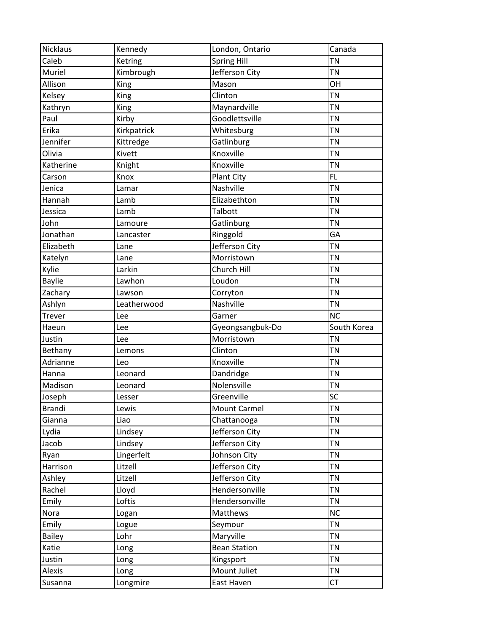| <b>Nicklaus</b>   | Kennedy          | London, Ontario            | Canada                 |
|-------------------|------------------|----------------------------|------------------------|
| Caleb             | Ketring          | <b>Spring Hill</b>         | <b>TN</b>              |
| Muriel            | Kimbrough        | Jefferson City             | <b>TN</b>              |
| Allison           | King             | Mason                      | OH                     |
| Kelsey            | King             | Clinton                    | <b>TN</b>              |
| Kathryn           | <b>King</b>      | Maynardville               | <b>TN</b>              |
| Paul              | Kirby            | Goodlettsville             | <b>TN</b>              |
| Erika             | Kirkpatrick      | Whitesburg                 | <b>TN</b>              |
| Jennifer          | Kittredge        | Gatlinburg                 | <b>TN</b>              |
| Olivia            | Kivett           | Knoxville                  | <b>TN</b>              |
| Katherine         | Knight           | Knoxville                  | <b>TN</b>              |
| Carson            | Knox             | Plant City                 | FL.                    |
| Jenica            | Lamar            | Nashville                  | <b>TN</b>              |
| Hannah            | Lamb             | Elizabethton               | <b>TN</b>              |
| Jessica           | Lamb             | Talbott                    | <b>TN</b>              |
| John              | Lamoure          | Gatlinburg                 | <b>TN</b>              |
| Jonathan          | Lancaster        | Ringgold                   | GA                     |
| Elizabeth         | Lane             | Jefferson City             | <b>TN</b>              |
| Katelyn           | Lane             | Morristown                 | <b>TN</b>              |
| Kylie             | Larkin           | Church Hill                | <b>TN</b>              |
| <b>Baylie</b>     | Lawhon           | Loudon                     | <b>TN</b>              |
| Zachary           | Lawson           | Corryton                   | <b>TN</b>              |
| Ashlyn            | Leatherwood      | Nashville                  | <b>TN</b>              |
| Trever            | Lee              | Garner                     | <b>NC</b>              |
|                   | Lee              | Gyeongsangbuk-Do           | South Korea            |
| Haeun             |                  |                            |                        |
| Justin            | Lee              | Morristown                 | <b>TN</b>              |
| Bethany           | Lemons           | Clinton                    | <b>TN</b>              |
| Adrianne          | Leo              | Knoxville                  | <b>TN</b>              |
| Hanna             | Leonard          | Dandridge                  | <b>TN</b>              |
| Madison           | Leonard          | Nolensville                | <b>TN</b>              |
| Joseph            | Lesser           | Greenville                 | SC                     |
| <b>Brandi</b>     | Lewis            | Mount Carmel               | <b>TN</b>              |
| Gianna            | Liao             | Chattanooga                | <b>TN</b>              |
| Lydia             | Lindsey          | Jefferson City             | <b>TN</b>              |
| Jacob             | Lindsey          | Jefferson City             | <b>TN</b>              |
| Ryan              | Lingerfelt       | Johnson City               | <b>TN</b>              |
| Harrison          | Litzell          | Jefferson City             | <b>TN</b>              |
| Ashley            | Litzell          | Jefferson City             | <b>TN</b>              |
| Rachel            | Lloyd            | Hendersonville             | <b>TN</b>              |
| Emily             | Loftis           | Hendersonville             | <b>TN</b>              |
| Nora              | Logan            | Matthews                   | <b>NC</b>              |
| Emily             | Logue            | Seymour                    | <b>TN</b>              |
| <b>Bailey</b>     | Lohr             | Maryville                  | <b>TN</b>              |
| Katie             | Long             | <b>Bean Station</b>        | <b>TN</b>              |
| Justin            | Long             | Kingsport                  | <b>TN</b>              |
| Alexis<br>Susanna | Long<br>Longmire | Mount Juliet<br>East Haven | <b>TN</b><br><b>CT</b> |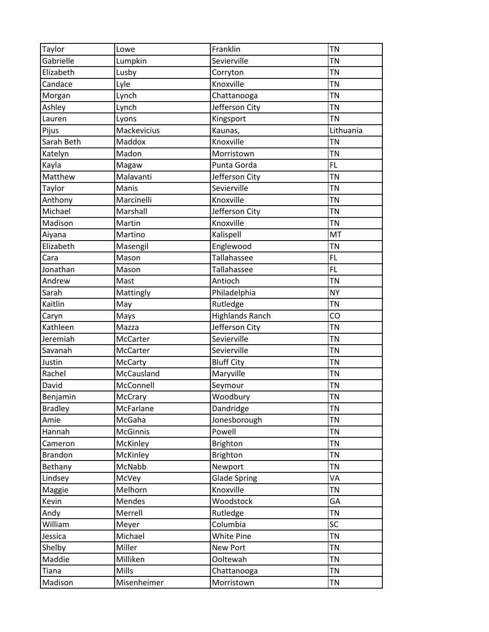| Taylor         | Lowe        | Franklin               | <b>TN</b> |
|----------------|-------------|------------------------|-----------|
| Gabrielle      | Lumpkin     | Sevierville            | <b>TN</b> |
| Elizabeth      | Lusby       | Corryton               | <b>TN</b> |
| Candace        | Lyle        | Knoxville              | <b>TN</b> |
| Morgan         | Lynch       | Chattanooga            | <b>TN</b> |
| Ashley         | Lynch       | Jefferson City         | <b>TN</b> |
| Lauren         | Lyons       | Kingsport              | <b>TN</b> |
| Pijus          | Mackevicius | Kaunas,                | Lithuania |
| Sarah Beth     | Maddox      | Knoxville              | <b>TN</b> |
| Katelyn        | Madon       | Morristown             | <b>TN</b> |
| Kayla          | Magaw       | Punta Gorda            | FL        |
| Matthew        | Malavanti   | Jefferson City         | <b>TN</b> |
| Taylor         | Manis       | Sevierville            | <b>TN</b> |
| Anthony        | Marcinelli  | Knoxville              | <b>TN</b> |
| Michael        | Marshall    | Jefferson City         | <b>TN</b> |
| Madison        | Martin      | Knoxville              | <b>TN</b> |
| Aiyana         | Martino     | Kalispell              | MT        |
| Elizabeth      | Masengil    | Englewood              | <b>TN</b> |
| Cara           | Mason       | Tallahassee            | FL.       |
| Jonathan       | Mason       | Tallahassee            | <b>FL</b> |
| Andrew         | Mast        | Antioch                | <b>TN</b> |
| Sarah          | Mattingly   | Philadelphia           | <b>NY</b> |
| Kaitlin        | May         | Rutledge               | <b>TN</b> |
| Caryn          | Mays        | <b>Highlands Ranch</b> | CO        |
| Kathleen       | Mazza       | Jefferson City         | <b>TN</b> |
| Jeremiah       | McCarter    | Sevierville            | <b>TN</b> |
| Savanah        | McCarter    | Sevierville            | <b>TN</b> |
| Justin         | McCarty     | <b>Bluff City</b>      | <b>TN</b> |
| Rachel         | McCausland  | Maryville              | <b>TN</b> |
| David          | McConnell   | Seymour                | TN        |
| Benjamin       | McCrary     | Woodbury               | TN        |
| <b>Bradley</b> | McFarlane   | Dandridge              | <b>TN</b> |
| Amie           | McGaha      | Jonesborough           | <b>TN</b> |
| Hannah         | McGinnis    | Powell                 | <b>TN</b> |
| Cameron        | McKinley    | <b>Brighton</b>        | <b>TN</b> |
| <b>Brandon</b> | McKinley    | <b>Brighton</b>        | TN        |
|                | McNabb      | Newport                | <b>TN</b> |
| Bethany        |             |                        | VA        |
| Lindsey        | McVey       | <b>Glade Spring</b>    |           |
| Maggie         | Melhorn     | Knoxville              | <b>TN</b> |
| Kevin          | Mendes      | Woodstock              | GA        |
| Andy           | Merrell     | Rutledge               | <b>TN</b> |
| William        | Meyer       | Columbia               | SC        |
| Jessica        | Michael     | White Pine             | <b>TN</b> |
| Shelby         | Miller      | New Port               | <b>TN</b> |
| Maddie         | Milliken    | Ooltewah               | <b>TN</b> |
| Tiana          | Mills       | Chattanooga            | <b>TN</b> |
| Madison        | Misenheimer | Morristown             | <b>TN</b> |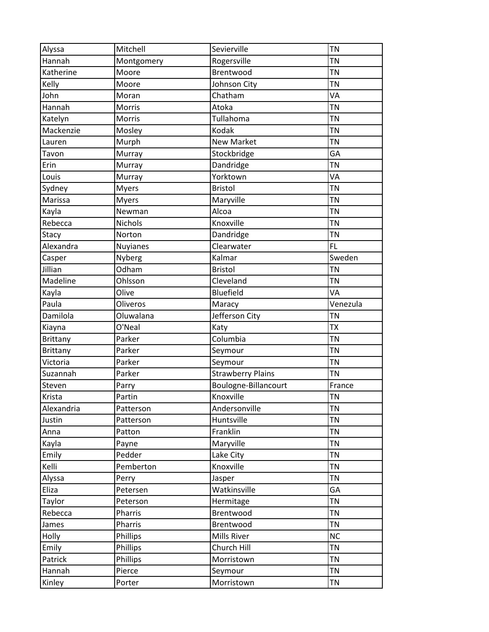| Alyssa          | Mitchell        | Sevierville              | <b>TN</b>        |
|-----------------|-----------------|--------------------------|------------------|
| Hannah          | Montgomery      | Rogersville              | <b>TN</b>        |
| Katherine       | Moore           | Brentwood                | <b>TN</b>        |
| Kelly           | Moore           | Johnson City             | <b>TN</b>        |
| John            | Moran           | Chatham                  | VA               |
| Hannah          | Morris          | Atoka                    | <b>TN</b>        |
| Katelyn         | Morris          | Tullahoma                | <b>TN</b>        |
| Mackenzie       | Mosley          | Kodak                    | $\overline{T}$ N |
| Lauren          | Murph           | <b>New Market</b>        | <b>TN</b>        |
| Tavon           | Murray          | Stockbridge              | GA               |
| Erin            | Murray          | Dandridge                | <b>TN</b>        |
| Louis           | Murray          | Yorktown                 | VA               |
| Sydney          | <b>Myers</b>    | <b>Bristol</b>           | <b>TN</b>        |
| Marissa         | <b>Myers</b>    | Maryville                | <b>TN</b>        |
| Kayla           | Newman          | Alcoa                    | <b>TN</b>        |
| Rebecca         | <b>Nichols</b>  | Knoxville                | <b>TN</b>        |
| Stacy           | Norton          | Dandridge                | <b>TN</b>        |
| Alexandra       | <b>Nuyianes</b> | Clearwater               | FL.              |
| Casper          | Nyberg          | Kalmar                   | Sweden           |
| Jillian         | Odham           | <b>Bristol</b>           | <b>TN</b>        |
| Madeline        | Ohlsson         | Cleveland                | <b>TN</b>        |
| Kayla           | Olive           | Bluefield                | VA               |
| Paula           | Oliveros        | Maracy                   | Venezula         |
| Damilola        | Oluwalana       | Jefferson City           | <b>TN</b>        |
| Kiayna          | O'Neal          | Katy                     | <b>TX</b>        |
| <b>Brittany</b> | Parker          | Columbia                 | <b>TN</b>        |
| <b>Brittany</b> | Parker          | Seymour                  | $\overline{T}$ N |
| Victoria        | Parker          | Seymour                  | <b>TN</b>        |
| Suzannah        | Parker          | <b>Strawberry Plains</b> | <b>TN</b>        |
| Steven          | Parry           | Boulogne-Billancourt     | France           |
| Krista          | Partin          | Knoxville                | <b>TN</b>        |
| Alexandria      | Patterson       | Andersonville            | <b>TN</b>        |
| Justin          | Patterson       | Huntsville               | <b>TN</b>        |
| Anna            | Patton          | Franklin                 | <b>TN</b>        |
| Kayla           | Payne           | Maryville                | <b>TN</b>        |
| Emily           | Pedder          | Lake City                | <b>TN</b>        |
| Kelli           | Pemberton       | Knoxville                | <b>TN</b>        |
| Alyssa          | Perry           | Jasper                   | <b>TN</b>        |
| Eliza           | Petersen        | Watkinsville             | GA               |
| Taylor          | Peterson        | Hermitage                | <b>TN</b>        |
| Rebecca         | Pharris         | Brentwood                | <b>TN</b>        |
| James           | Pharris         | Brentwood                | <b>TN</b>        |
| Holly           | Phillips        | Mills River              | <b>NC</b>        |
| Emily           | Phillips        | Church Hill              | <b>TN</b>        |
| Patrick         | Phillips        | Morristown               | <b>TN</b>        |
| Hannah          | Pierce          | Seymour                  | <b>TN</b>        |
| Kinley          | Porter          | Morristown               | <b>TN</b>        |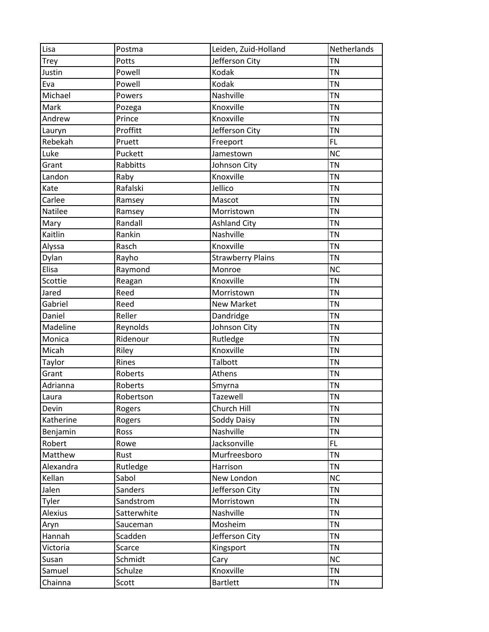| Lisa           | Postma      | Leiden, Zuid-Holland     | Netherlands |
|----------------|-------------|--------------------------|-------------|
| <b>Trey</b>    | Potts       | Jefferson City           | <b>TN</b>   |
| Justin         | Powell      | Kodak                    | <b>TN</b>   |
| Eva            | Powell      | Kodak                    | <b>TN</b>   |
| Michael        | Powers      | Nashville                | <b>TN</b>   |
| Mark           | Pozega      | Knoxville                | <b>TN</b>   |
| Andrew         | Prince      | Knoxville                | <b>TN</b>   |
| Lauryn         | Proffitt    | Jefferson City           | <b>TN</b>   |
| Rebekah        | Pruett      | Freeport                 | FL.         |
| Luke           | Puckett     | Jamestown                | <b>NC</b>   |
| Grant          | Rabbitts    | Johnson City             | <b>TN</b>   |
| Landon         | Raby        | Knoxville                | <b>TN</b>   |
| Kate           | Rafalski    | Jellico                  | <b>TN</b>   |
| Carlee         | Ramsey      | Mascot                   | <b>TN</b>   |
| <b>Natilee</b> | Ramsey      | Morristown               | <b>TN</b>   |
| Mary           | Randall     | <b>Ashland City</b>      | <b>TN</b>   |
| Kaitlin        | Rankin      | Nashville                | <b>TN</b>   |
| Alyssa         | Rasch       | Knoxville                | <b>TN</b>   |
| Dylan          | Rayho       | <b>Strawberry Plains</b> | <b>TN</b>   |
| Elisa          | Raymond     | Monroe                   | <b>NC</b>   |
| Scottie        | Reagan      | Knoxville                | <b>TN</b>   |
| Jared          | Reed        | Morristown               | <b>TN</b>   |
| Gabriel        | Reed        | <b>New Market</b>        | <b>TN</b>   |
| Daniel         | Reller      | Dandridge                | <b>TN</b>   |
| Madeline       | Reynolds    | Johnson City             | <b>TN</b>   |
| Monica         | Ridenour    | Rutledge                 | <b>TN</b>   |
| Micah          | Riley       | Knoxville                | <b>TN</b>   |
| Taylor         | Rines       | Talbott                  | <b>TN</b>   |
| Grant          | Roberts     | Athens                   | <b>TN</b>   |
| Adrianna       | Roberts     | Smyrna                   | <b>TN</b>   |
| Laura          | Robertson   | Tazewell                 | <b>TN</b>   |
| Devin          | Rogers      | Church Hill              | <b>TN</b>   |
| Katherine      | Rogers      | Soddy Daisy              | <b>TN</b>   |
| Benjamin       | Ross        | Nashville                | <b>TN</b>   |
| Robert         | Rowe        | Jacksonville             | FL.         |
| Matthew        | Rust        | Murfreesboro             | <b>TN</b>   |
| Alexandra      | Rutledge    | Harrison                 | <b>TN</b>   |
| Kellan         | Sabol       | New London               | <b>NC</b>   |
| Jalen          | Sanders     | Jefferson City           | <b>TN</b>   |
| Tyler          | Sandstrom   | Morristown               | <b>TN</b>   |
| Alexius        | Satterwhite | Nashville                | <b>TN</b>   |
| Aryn           | Sauceman    | Mosheim                  | <b>TN</b>   |
| Hannah         | Scadden     | Jefferson City           | <b>TN</b>   |
| Victoria       | Scarce      | Kingsport                | <b>TN</b>   |
| Susan          | Schmidt     | Cary                     | <b>NC</b>   |
| Samuel         | Schulze     | Knoxville                | <b>TN</b>   |
| Chainna        | Scott       | <b>Bartlett</b>          | <b>TN</b>   |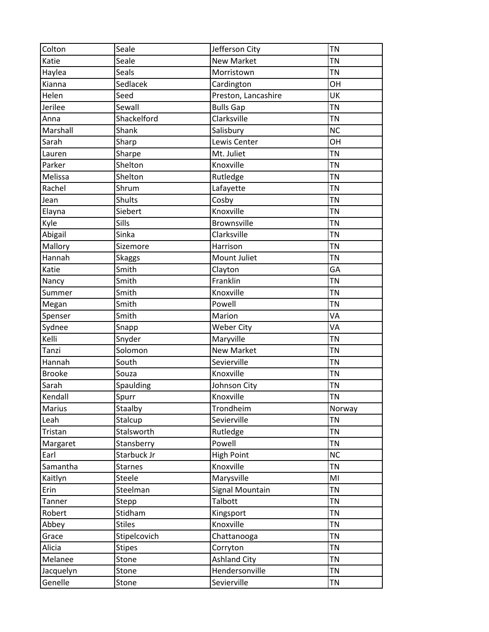| Colton        | Seale          | Jefferson City      | <b>TN</b> |
|---------------|----------------|---------------------|-----------|
| Katie         | Seale          | <b>New Market</b>   | <b>TN</b> |
| Haylea        | Seals          | Morristown          | <b>TN</b> |
| Kianna        | Sedlacek       | Cardington          | OH        |
| Helen         | Seed           | Preston, Lancashire | UK        |
| Jerilee       | Sewall         | <b>Bulls Gap</b>    | <b>TN</b> |
| Anna          | Shackelford    | Clarksville         | <b>TN</b> |
| Marshall      | Shank          | Salisbury           | <b>NC</b> |
| Sarah         | Sharp          | Lewis Center        | OH        |
| Lauren        | Sharpe         | Mt. Juliet          | <b>TN</b> |
| Parker        | Shelton        | Knoxville           | <b>TN</b> |
| Melissa       | Shelton        | Rutledge            | <b>TN</b> |
| Rachel        | Shrum          | Lafayette           | <b>TN</b> |
| Jean          | <b>Shults</b>  | Cosby               | <b>TN</b> |
| Elayna        | Siebert        | Knoxville           | <b>TN</b> |
| Kyle          | Sills          | <b>Brownsville</b>  | <b>TN</b> |
| Abigail       | Sinka          | Clarksville         | <b>TN</b> |
| Mallory       | Sizemore       | Harrison            | <b>TN</b> |
| Hannah        | Skaggs         | Mount Juliet        | <b>TN</b> |
| Katie         | Smith          | Clayton             | GA        |
| Nancy         | Smith          | Franklin            | <b>TN</b> |
| Summer        | Smith          | Knoxville           | <b>TN</b> |
| Megan         | Smith          | Powell              | <b>TN</b> |
| Spenser       | Smith          | Marion              | VA        |
| Sydnee        | Snapp          | <b>Weber City</b>   | VA        |
| Kelli         | Snyder         | Maryville           | <b>TN</b> |
| Tanzi         | Solomon        | <b>New Market</b>   | <b>TN</b> |
| Hannah        | South          | Sevierville         | <b>TN</b> |
| <b>Brooke</b> | Souza          | Knoxville           | <b>TN</b> |
| Sarah         | Spaulding      | Johnson City        | <b>TN</b> |
| Kendall       | Spurr          | Knoxville           | <b>TN</b> |
| <b>Marius</b> | Staalby        | Trondheim           | Norway    |
| Leah          | Stalcup        | Sevierville         | <b>TN</b> |
| Tristan       | Stalsworth     | Rutledge            | <b>TN</b> |
| Margaret      | Stansberry     | Powell              | <b>TN</b> |
| Earl          | Starbuck Jr    | <b>High Point</b>   | <b>NC</b> |
| Samantha      | <b>Starnes</b> | Knoxville           | <b>TN</b> |
| Kaitlyn       | Steele         | Marysville          | MI        |
| Erin          | Steelman       | Signal Mountain     | <b>TN</b> |
| Tanner        | Stepp          | Talbott             | <b>TN</b> |
| Robert        | Stidham        | Kingsport           | <b>TN</b> |
| Abbey         | <b>Stiles</b>  | Knoxville           | <b>TN</b> |
| Grace         | Stipelcovich   | Chattanooga         | <b>TN</b> |
| Alicia        | <b>Stipes</b>  | Corryton            | <b>TN</b> |
| Melanee       | Stone          | <b>Ashland City</b> | <b>TN</b> |
| Jacquelyn     | Stone          | Hendersonville      | <b>TN</b> |
| Genelle       | Stone          | Sevierville         | <b>TN</b> |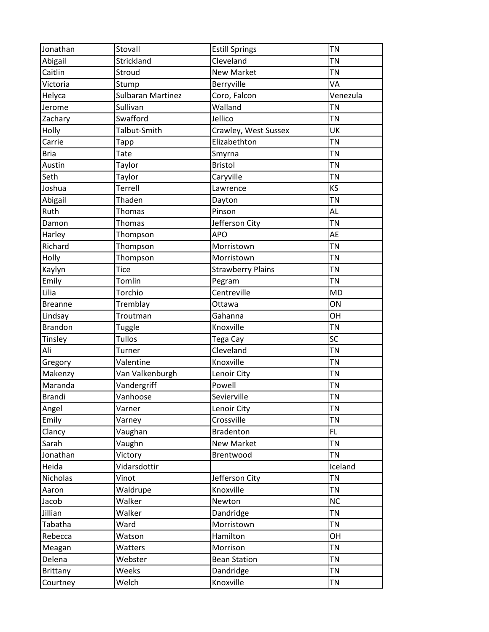| Jonathan       | Stovall                  | <b>Estill Springs</b>    | <b>TN</b> |
|----------------|--------------------------|--------------------------|-----------|
| Abigail        | Strickland               | Cleveland                | <b>TN</b> |
| Caitlin        | Stroud                   | <b>New Market</b>        | <b>TN</b> |
| Victoria       | Stump                    | Berryville               | VA        |
| Helyca         | <b>Sulbaran Martinez</b> | Coro, Falcon             | Venezula  |
| Jerome         | Sullivan                 | Walland                  | <b>TN</b> |
| Zachary        | Swafford                 | Jellico                  | <b>TN</b> |
| Holly          | Talbut-Smith             | Crawley, West Sussex     | UK        |
| Carrie         | <b>Tapp</b>              | Elizabethton             | <b>TN</b> |
| <b>Bria</b>    | Tate                     | Smyrna                   | <b>TN</b> |
| Austin         | Taylor                   | <b>Bristol</b>           | <b>TN</b> |
| Seth           | Taylor                   | Caryville                | <b>TN</b> |
| Joshua         | Terrell                  | Lawrence                 | KS        |
| Abigail        | Thaden                   | Dayton                   | <b>TN</b> |
| Ruth           | Thomas                   | Pinson                   | AL        |
| Damon          | Thomas                   | Jefferson City           | <b>TN</b> |
| Harley         | Thompson                 | <b>APO</b>               | AE        |
| Richard        | Thompson                 | Morristown               | <b>TN</b> |
| Holly          | Thompson                 | Morristown               | <b>TN</b> |
| Kaylyn         | <b>Tice</b>              | <b>Strawberry Plains</b> | <b>TN</b> |
| Emily          | Tomlin                   | Pegram                   | <b>TN</b> |
| Lilia          | Torchio                  | Centreville              | <b>MD</b> |
| <b>Breanne</b> | Tremblay                 | Ottawa                   | ON        |
| Lindsay        | Troutman                 | Gahanna                  | OH        |
| <b>Brandon</b> |                          | Knoxville                | <b>TN</b> |
|                | <b>Tuggle</b><br>Tullos  |                          | SC        |
| Tinsley        |                          | Tega Cay<br>Cleveland    | <b>TN</b> |
| Ali            | Turner                   |                          |           |
| Gregory        | Valentine                | Knoxville                | <b>TN</b> |
| Makenzy        | Van Valkenburgh          | Lenoir City              | <b>TN</b> |
| Maranda        | Vandergriff              | Powell                   | TN        |
| <b>Brandi</b>  | Vanhoose                 | Sevierville              | TN        |
| Angel          | Varner                   | Lenoir City              | <b>TN</b> |
| Emily          | Varney                   | Crossville               | <b>TN</b> |
| Clancy         | Vaughan                  | <b>Bradenton</b>         | FL.       |
| Sarah          | Vaughn                   | <b>New Market</b>        | <b>TN</b> |
| Jonathan       | Victory                  | Brentwood                | <b>TN</b> |
| Heida          | Vidarsdottir             |                          | Iceland   |
| Nicholas       | Vinot                    | Jefferson City           | <b>TN</b> |
| Aaron          | Waldrupe                 | Knoxville                | <b>TN</b> |
| Jacob          | Walker                   | Newton                   | <b>NC</b> |
| Jillian        | Walker                   | Dandridge                | <b>TN</b> |
| Tabatha        | Ward                     | Morristown               | <b>TN</b> |
| Rebecca        | Watson                   | Hamilton                 | OH        |
| Meagan         | Watters                  | Morrison                 | <b>TN</b> |
| Delena         | Webster                  | <b>Bean Station</b>      | <b>TN</b> |
| Brittany       | Weeks                    | Dandridge                | <b>TN</b> |
| Courtney       | Welch                    | Knoxville                | <b>TN</b> |